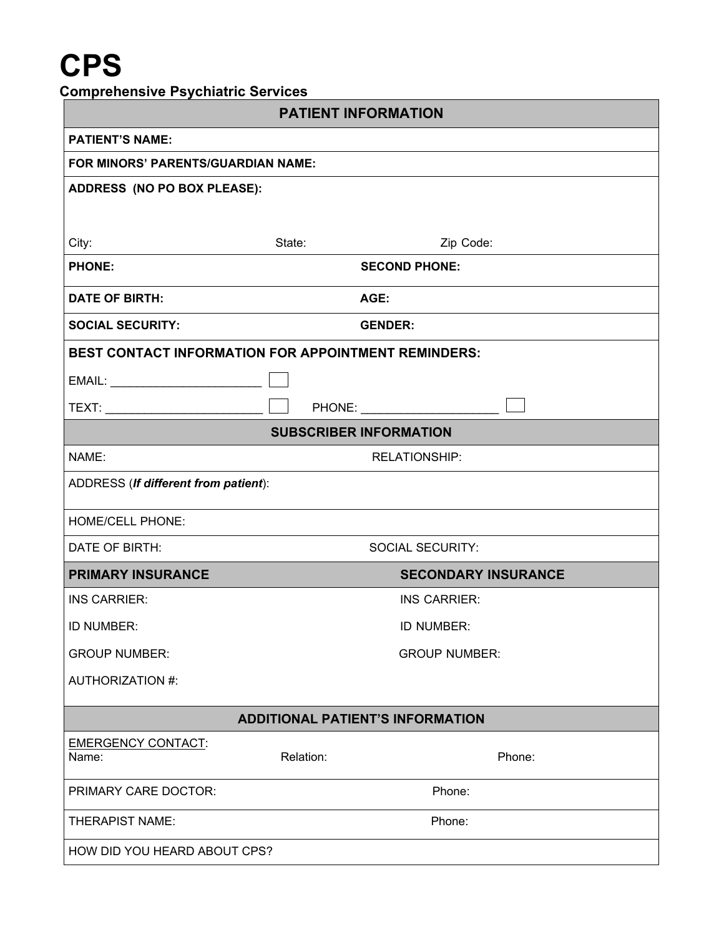# **CPS**

| <b>Comprehensive Psychiatric Services</b> |  |  |  |
|-------------------------------------------|--|--|--|
|-------------------------------------------|--|--|--|

| <b>PATIENT INFORMATION</b>                          |                      |                            |  |  |
|-----------------------------------------------------|----------------------|----------------------------|--|--|
| <b>PATIENT'S NAME:</b>                              |                      |                            |  |  |
| FOR MINORS' PARENTS/GUARDIAN NAME:                  |                      |                            |  |  |
| ADDRESS (NO PO BOX PLEASE):                         |                      |                            |  |  |
|                                                     |                      |                            |  |  |
| City:                                               | State:               | Zip Code:                  |  |  |
| <b>PHONE:</b>                                       | <b>SECOND PHONE:</b> |                            |  |  |
| <b>DATE OF BIRTH:</b>                               | AGE:                 |                            |  |  |
| <b>SOCIAL SECURITY:</b>                             |                      | <b>GENDER:</b>             |  |  |
| BEST CONTACT INFORMATION FOR APPOINTMENT REMINDERS: |                      |                            |  |  |
|                                                     |                      |                            |  |  |
|                                                     |                      |                            |  |  |
| <b>SUBSCRIBER INFORMATION</b>                       |                      |                            |  |  |
| NAME:                                               |                      | <b>RELATIONSHIP:</b>       |  |  |
| ADDRESS (If different from patient):                |                      |                            |  |  |
| <b>HOME/CELL PHONE:</b>                             |                      |                            |  |  |
| DATE OF BIRTH:                                      |                      | <b>SOCIAL SECURITY:</b>    |  |  |
| <b>PRIMARY INSURANCE</b>                            |                      | <b>SECONDARY INSURANCE</b> |  |  |
| <b>INS CARRIER:</b>                                 |                      | <b>INS CARRIER:</b>        |  |  |
| ID NUMBER:                                          | ID NUMBER:           |                            |  |  |
| <b>GROUP NUMBER:</b>                                | <b>GROUP NUMBER:</b> |                            |  |  |
| AUTHORIZATION #:                                    |                      |                            |  |  |
| <b>ADDITIONAL PATIENT'S INFORMATION</b>             |                      |                            |  |  |
| <b>EMERGENCY CONTACT:</b>                           |                      |                            |  |  |
| Name:                                               | Relation:            | Phone:                     |  |  |
| PRIMARY CARE DOCTOR:                                | Phone:               |                            |  |  |
| THERAPIST NAME:                                     | Phone:               |                            |  |  |
| HOW DID YOU HEARD ABOUT CPS?                        |                      |                            |  |  |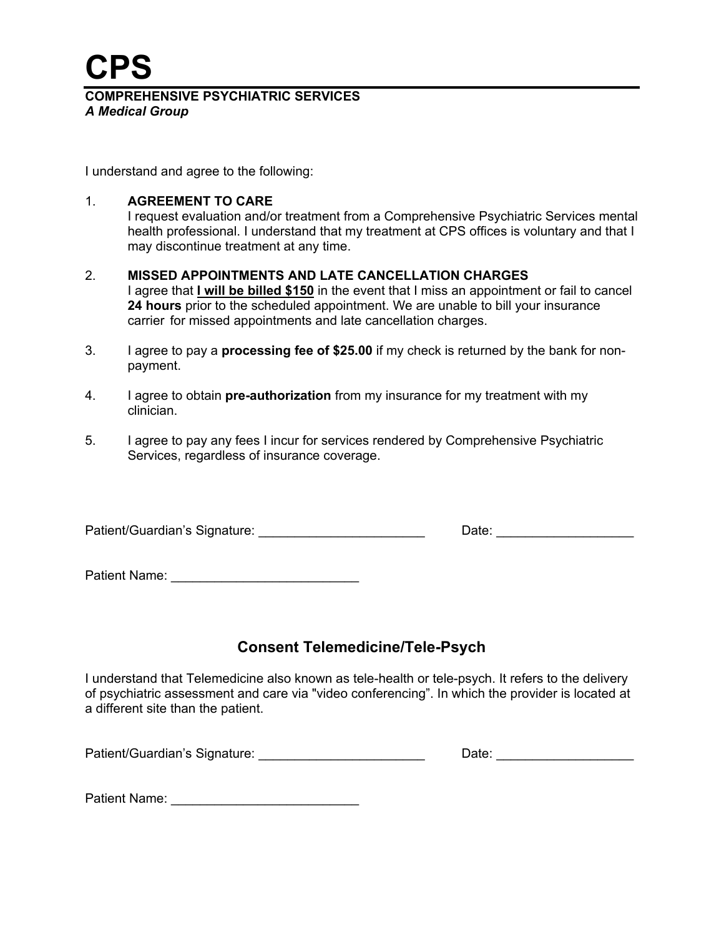**CPS**

**COMPREHENSIVE PSYCHIATRIC SERVICES** *A Medical Group*

I understand and agree to the following:

#### 1. **AGREEMENT TO CARE**

I request evaluation and/or treatment from a Comprehensive Psychiatric Services mental health professional. I understand that my treatment at CPS offices is voluntary and that I may discontinue treatment at any time.

#### 2. **MISSED APPOINTMENTS AND LATE CANCELLATION CHARGES**

I agree that **I will be billed \$150** in the event that I miss an appointment or fail to cancel **24 hours** prior to the scheduled appointment. We are unable to bill your insurance carrier for missed appointments and late cancellation charges.

- 3. I agree to pay a **processing fee of \$25.00** if my check is returned by the bank for nonpayment.
- 4. I agree to obtain **pre-authorization** from my insurance for my treatment with my clinician.
- 5. I agree to pay any fees I incur for services rendered by Comprehensive Psychiatric Services, regardless of insurance coverage.

| Patient/Guardian's Signature: | Date: |
|-------------------------------|-------|
|-------------------------------|-------|

Patient Name: \_\_\_\_\_\_\_\_\_\_\_\_\_\_\_\_\_\_\_\_\_\_\_\_\_\_

# **Consent Telemedicine/Tele-Psych**

I understand that Telemedicine also known as tele-health or tele-psych. It refers to the delivery of psychiatric assessment and care via "video conferencing". In which the provider is located at a different site than the patient.

Patient/Guardian's Signature: \_\_\_\_\_\_\_\_\_\_\_\_\_\_\_\_\_\_\_\_\_\_\_\_\_\_\_\_\_\_\_\_\_\_Date: \_\_\_\_\_\_\_\_\_\_\_

Patient Name: \_\_\_\_\_\_\_\_\_\_\_\_\_\_\_\_\_\_\_\_\_\_\_\_\_\_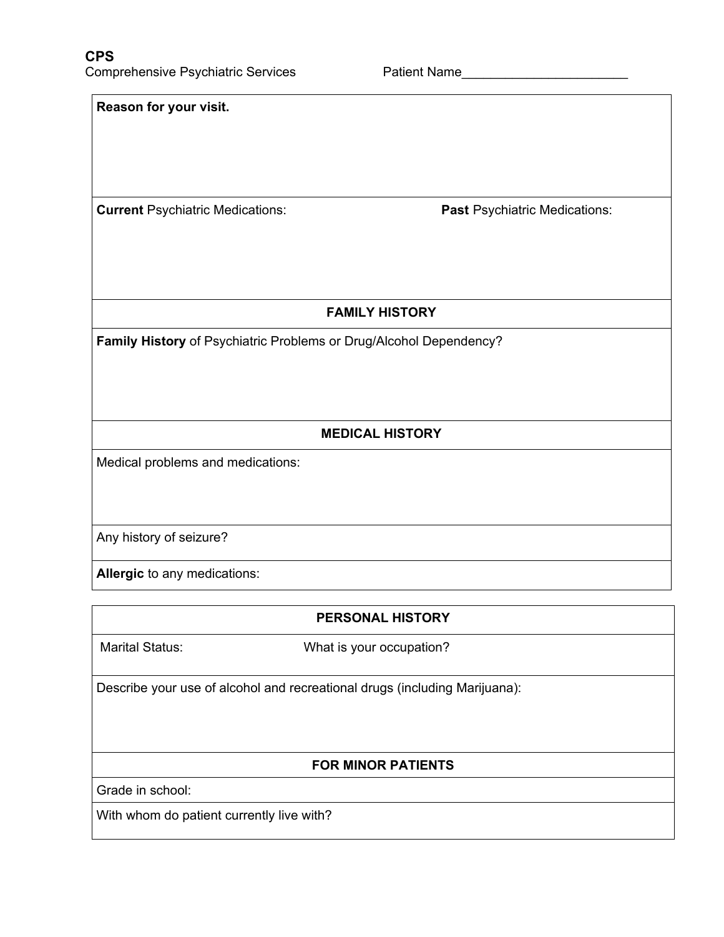| Reason for your visit.                                             |                               |  |  |
|--------------------------------------------------------------------|-------------------------------|--|--|
| <b>Current Psychiatric Medications:</b>                            | Past Psychiatric Medications: |  |  |
| <b>FAMILY HISTORY</b>                                              |                               |  |  |
| Family History of Psychiatric Problems or Drug/Alcohol Dependency? |                               |  |  |
| <b>MEDICAL HISTORY</b>                                             |                               |  |  |
| Medical problems and medications:                                  |                               |  |  |
| Any history of seizure?                                            |                               |  |  |
| Allergic to any medications:                                       |                               |  |  |

**PERSONAL HISTORY**

Marital Status: What is your occupation?

Describe your use of alcohol and recreational drugs (including Marijuana):

#### **FOR MINOR PATIENTS**

Grade in school:

With whom do patient currently live with?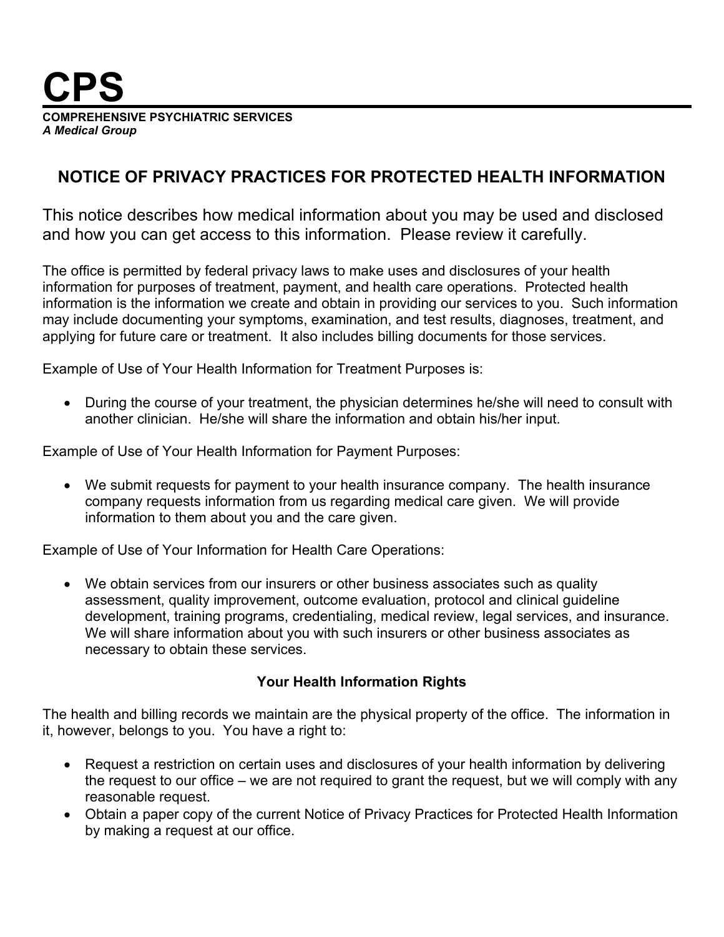

**COMPREHENSIVE PSYCHIATRIC SERVICES** *A Medical Group*

# **NOTICE OF PRIVACY PRACTICES FOR PROTECTED HEALTH INFORMATION**

This notice describes how medical information about you may be used and disclosed and how you can get access to this information. Please review it carefully.

The office is permitted by federal privacy laws to make uses and disclosures of your health information for purposes of treatment, payment, and health care operations. Protected health information is the information we create and obtain in providing our services to you. Such information may include documenting your symptoms, examination, and test results, diagnoses, treatment, and applying for future care or treatment. It also includes billing documents for those services.

Example of Use of Your Health Information for Treatment Purposes is:

 During the course of your treatment, the physician determines he/she will need to consult with another clinician. He/she will share the information and obtain his/her input.

Example of Use of Your Health Information for Payment Purposes:

 We submit requests for payment to your health insurance company. The health insurance company requests information from us regarding medical care given. We will provide information to them about you and the care given.

Example of Use of Your Information for Health Care Operations:

 We obtain services from our insurers or other business associates such as quality assessment, quality improvement, outcome evaluation, protocol and clinical guideline development, training programs, credentialing, medical review, legal services, and insurance. We will share information about you with such insurers or other business associates as necessary to obtain these services.

#### **Your Health Information Rights**

The health and billing records we maintain are the physical property of the office. The information in it, however, belongs to you. You have a right to:

- Request a restriction on certain uses and disclosures of your health information by delivering the request to our office – we are not required to grant the request, but we will comply with any reasonable request.
- Obtain a paper copy of the current Notice of Privacy Practices for Protected Health Information by making a request at our office.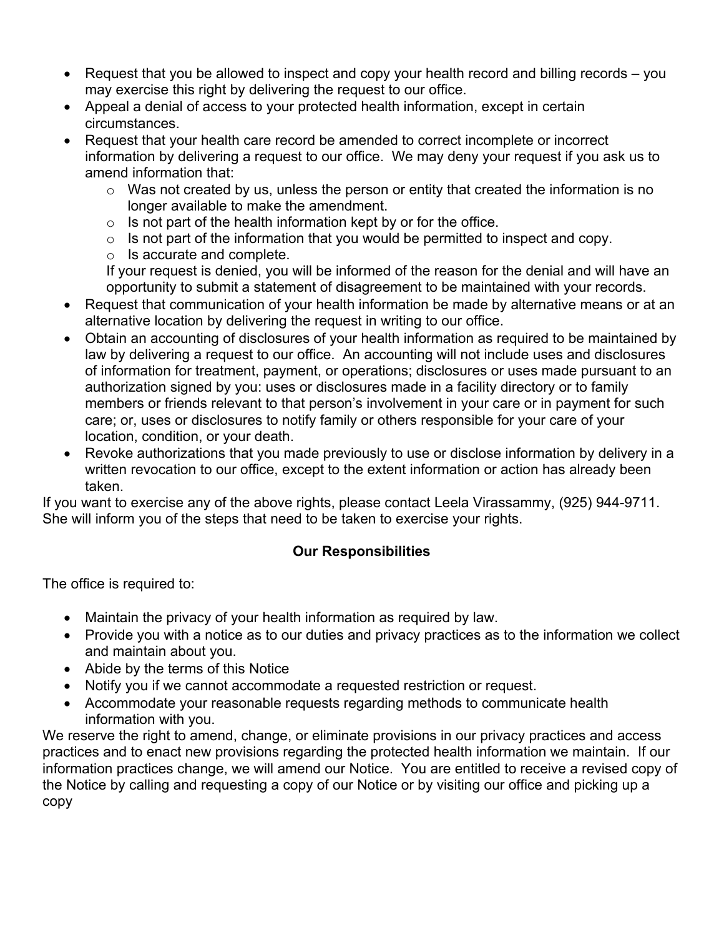- Request that you be allowed to inspect and copy your health record and billing records you may exercise this right by delivering the request to our office.
- Appeal a denial of access to your protected health information, except in certain circumstances.
- Request that your health care record be amended to correct incomplete or incorrect information by delivering a request to our office. We may deny your request if you ask us to amend information that:
	- o Was not created by us, unless the person or entity that created the information is no longer available to make the amendment.
	- $\circ$  Is not part of the health information kept by or for the office.
	- $\circ$  Is not part of the information that you would be permitted to inspect and copy.
	- o Is accurate and complete.

If your request is denied, you will be informed of the reason for the denial and will have an opportunity to submit a statement of disagreement to be maintained with your records.

- Request that communication of your health information be made by alternative means or at an alternative location by delivering the request in writing to our office.
- Obtain an accounting of disclosures of your health information as required to be maintained by law by delivering a request to our office. An accounting will not include uses and disclosures of information for treatment, payment, or operations; disclosures or uses made pursuant to an authorization signed by you: uses or disclosures made in a facility directory or to family members or friends relevant to that person's involvement in your care or in payment for such care; or, uses or disclosures to notify family or others responsible for your care of your location, condition, or your death.
- Revoke authorizations that you made previously to use or disclose information by delivery in a written revocation to our office, except to the extent information or action has already been taken.

If you want to exercise any of the above rights, please contact Leela Virassammy, (925) 944-9711. She will inform you of the steps that need to be taken to exercise your rights.

### **Our Responsibilities**

The office is required to:

- Maintain the privacy of your health information as required by law.
- Provide you with a notice as to our duties and privacy practices as to the information we collect and maintain about you.
- Abide by the terms of this Notice
- Notify you if we cannot accommodate a requested restriction or request.
- Accommodate your reasonable requests regarding methods to communicate health information with you.

We reserve the right to amend, change, or eliminate provisions in our privacy practices and access practices and to enact new provisions regarding the protected health information we maintain. If our information practices change, we will amend our Notice. You are entitled to receive a revised copy of the Notice by calling and requesting a copy of our Notice or by visiting our office and picking up a copy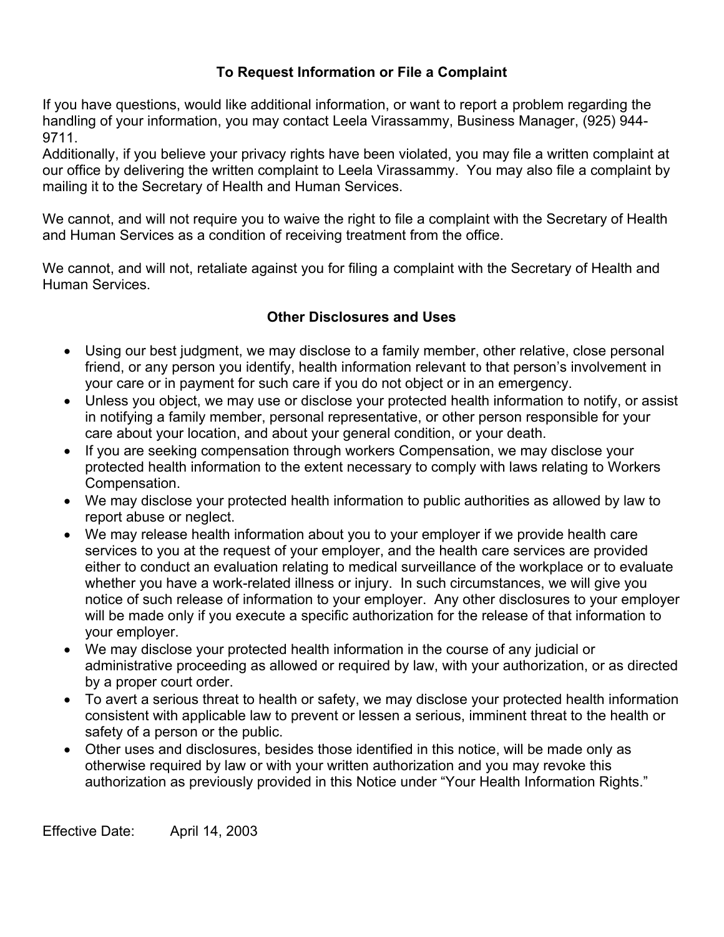## **To Request Information or File a Complaint**

If you have questions, would like additional information, or want to report a problem regarding the handling of your information, you may contact Leela Virassammy, Business Manager, (925) 944- 9711.

Additionally, if you believe your privacy rights have been violated, you may file a written complaint at our office by delivering the written complaint to Leela Virassammy. You may also file a complaint by mailing it to the Secretary of Health and Human Services.

We cannot, and will not require you to waive the right to file a complaint with the Secretary of Health and Human Services as a condition of receiving treatment from the office.

We cannot, and will not, retaliate against you for filing a complaint with the Secretary of Health and Human Services.

# **Other Disclosures and Uses**

- Using our best judgment, we may disclose to a family member, other relative, close personal friend, or any person you identify, health information relevant to that person's involvement in your care or in payment for such care if you do not object or in an emergency.
- Unless you object, we may use or disclose your protected health information to notify, or assist in notifying a family member, personal representative, or other person responsible for your care about your location, and about your general condition, or your death.
- If you are seeking compensation through workers Compensation, we may disclose your protected health information to the extent necessary to comply with laws relating to Workers Compensation.
- We may disclose your protected health information to public authorities as allowed by law to report abuse or neglect.
- We may release health information about you to your employer if we provide health care services to you at the request of your employer, and the health care services are provided either to conduct an evaluation relating to medical surveillance of the workplace or to evaluate whether you have a work-related illness or injury. In such circumstances, we will give you notice of such release of information to your employer. Any other disclosures to your employer will be made only if you execute a specific authorization for the release of that information to your employer.
- We may disclose your protected health information in the course of any judicial or administrative proceeding as allowed or required by law, with your authorization, or as directed by a proper court order.
- To avert a serious threat to health or safety, we may disclose your protected health information consistent with applicable law to prevent or lessen a serious, imminent threat to the health or safety of a person or the public.
- Other uses and disclosures, besides those identified in this notice, will be made only as otherwise required by law or with your written authorization and you may revoke this authorization as previously provided in this Notice under "Your Health Information Rights."

Effective Date: April 14, 2003